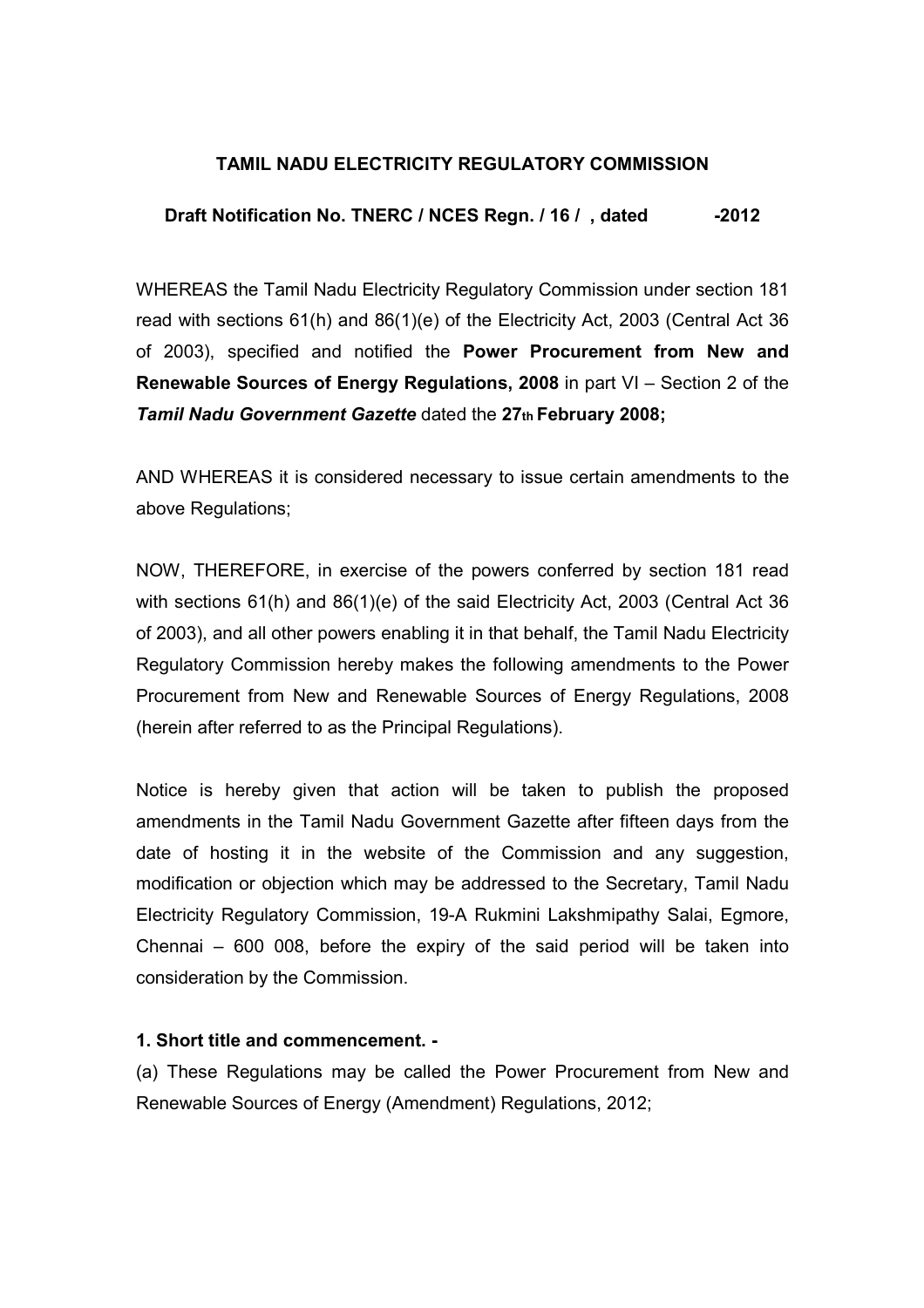### TAMIL NADU ELECTRICITY REGULATORY COMMISSION

#### Draft Notification No. TNERC / NCES Regn. / 16 / , dated -2012

WHEREAS the Tamil Nadu Electricity Regulatory Commission under section 181 read with sections 61(h) and 86(1)(e) of the Electricity Act, 2003 (Central Act 36 of 2003), specified and notified the Power Procurement from New and Renewable Sources of Energy Regulations, 2008 in part VI – Section 2 of the Tamil Nadu Government Gazette dated the 27th February 2008;

AND WHEREAS it is considered necessary to issue certain amendments to the above Regulations;

NOW, THEREFORE, in exercise of the powers conferred by section 181 read with sections 61(h) and 86(1)(e) of the said Electricity Act, 2003 (Central Act 36 of 2003), and all other powers enabling it in that behalf, the Tamil Nadu Electricity Regulatory Commission hereby makes the following amendments to the Power Procurement from New and Renewable Sources of Energy Regulations, 2008 (herein after referred to as the Principal Regulations).

Notice is hereby given that action will be taken to publish the proposed amendments in the Tamil Nadu Government Gazette after fifteen days from the date of hosting it in the website of the Commission and any suggestion, modification or objection which may be addressed to the Secretary, Tamil Nadu Electricity Regulatory Commission, 19-A Rukmini Lakshmipathy Salai, Egmore, Chennai – 600 008, before the expiry of the said period will be taken into consideration by the Commission.

#### 1. Short title and commencement. -

(a) These Regulations may be called the Power Procurement from New and Renewable Sources of Energy (Amendment) Regulations, 2012;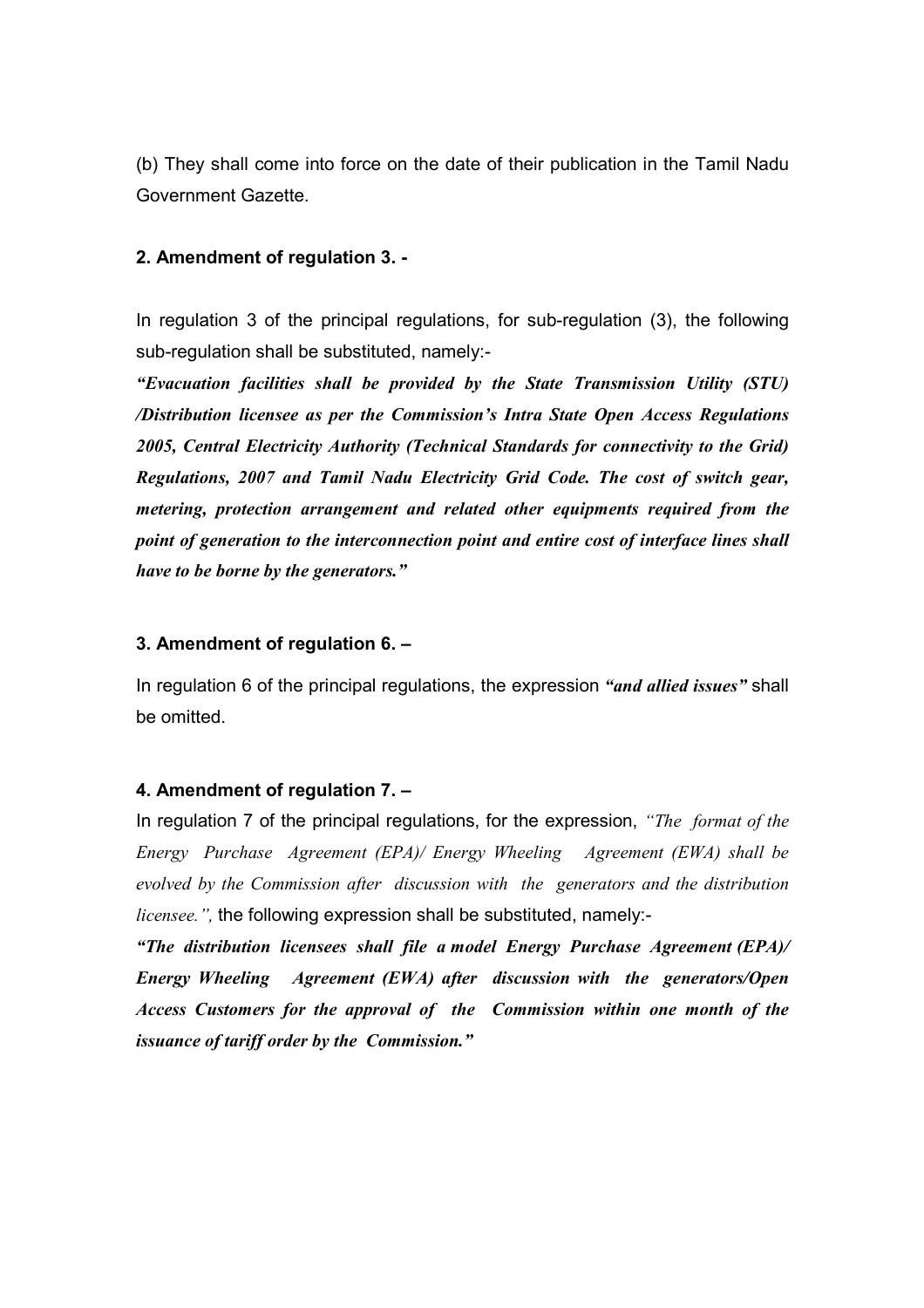(b) They shall come into force on the date of their publication in the Tamil Nadu Government Gazette.

#### 2. Amendment of regulation 3. -

In regulation 3 of the principal regulations, for sub-regulation (3), the following sub-regulation shall be substituted, namely:-

"Evacuation facilities shall be provided by the State Transmission Utility (STU) /Distribution licensee as per the Commission's Intra State Open Access Regulations 2005, Central Electricity Authority (Technical Standards for connectivity to the Grid) Regulations, 2007 and Tamil Nadu Electricity Grid Code. The cost of switch gear, metering, protection arrangement and related other equipments required from the point of generation to the interconnection point and entire cost of interface lines shall have to be borne by the generators."

#### 3. Amendment of regulation 6. –

In regulation 6 of the principal regulations, the expression "and allied issues" shall be omitted.

#### 4. Amendment of regulation 7. –

In regulation 7 of the principal regulations, for the expression, "The format of the Energy Purchase Agreement (EPA)/ Energy Wheeling Agreement (EWA) shall be evolved by the Commission after discussion with the generators and the distribution *licensee.*", the following expression shall be substituted, namely:-

"The distribution licensees shall file a model Energy Purchase Agreement (EPA)/ Energy Wheeling Agreement (EWA) after discussion with the generators/Open Access Customers for the approval of the Commission within one month of the issuance of tariff order by the Commission."